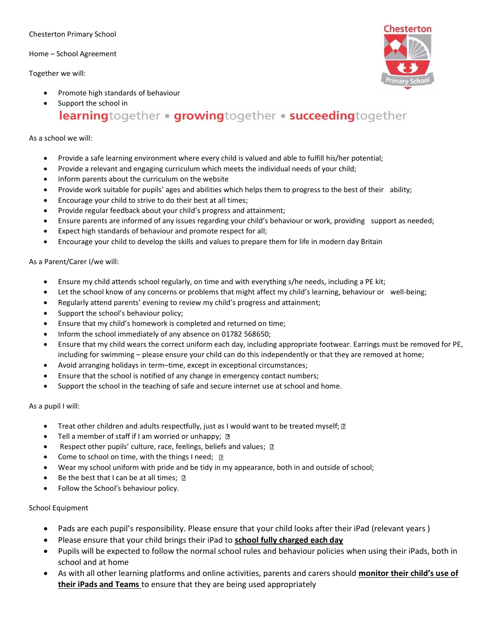#### Chesterton Primary School

Home – School Agreement

Together we will:



- Promote high standards of behaviour
- Support the school in learningtogether . growingtogether . succeedingtogether

### As a school we will:

- Provide a safe learning environment where every child is valued and able to fulfill his/her potential;
- Provide a relevant and engaging curriculum which meets the individual needs of your child;
- Inform parents about the curriculum on the website
- Provide work suitable for pupils' ages and abilities which helps them to progress to the best of their ability;
- Encourage your child to strive to do their best at all times;
- Provide regular feedback about your child's progress and attainment;
- Ensure parents are informed of any issues regarding your child's behaviour or work, providing support as needed;
- Expect high standards of behaviour and promote respect for all;
- Encourage your child to develop the skills and values to prepare them for life in modern day Britain

## As a Parent/Carer I/we will:

- Ensure my child attends school regularly, on time and with everything s/he needs, including a PE kit;
- Let the school know of any concerns or problems that might affect my child's learning, behaviour or well-being;
- Regularly attend parents' evening to review my child's progress and attainment;
- Support the school's behaviour policy;
- Ensure that my child's homework is completed and returned on time;
- Inform the school immediately of any absence on 01782 568650;
- Ensure that my child wears the correct uniform each day, including appropriate footwear. Earrings must be removed for PE, including for swimming – please ensure your child can do this independently or that they are removed at home;
- Avoid arranging holidays in term–time, except in exceptional circumstances;
- Ensure that the school is notified of any change in emergency contact numbers;
- Support the school in the teaching of safe and secure internet use at school and home.

#### As a pupil I will:

- Treat other children and adults respectfully, just as I would want to be treated myself; [2]
- Tell a member of staff if I am worried or unhappy;  $\mathbb D$
- Respect other pupils' culture, race, feelings, beliefs and values;  $\mathbb D$
- Come to school on time, with the things I need;  $\Box$
- Wear my school uniform with pride and be tidy in my appearance, both in and outside of school;
- Be the best that I can be at all times;  $\mathbb{R}$
- Follow the School's behaviour policy.

# School Equipment

- Pads are each pupil's responsibility. Please ensure that your child looks after their iPad (relevant years )
- Please ensure that your child brings their iPad to **school fully charged each day**
- Pupils will be expected to follow the normal school rules and behaviour policies when using their iPads, both in school and at home
- As with all other learning platforms and online activities, parents and carers should **monitor their child's use of their iPads and Teams** to ensure that they are being used appropriately